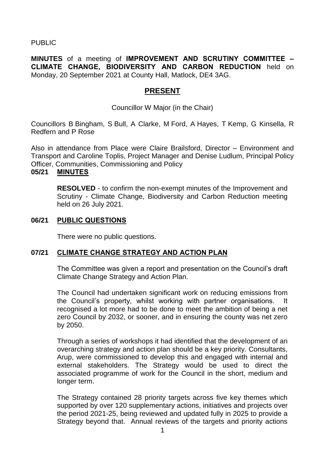## PUBLIC

**MINUTES** of a meeting of **IMPROVEMENT AND SCRUTINY COMMITTEE – CLIMATE CHANGE, BIODIVERSITY AND CARBON REDUCTION** held on Monday, 20 September 2021 at County Hall, Matlock, DE4 3AG.

# **PRESENT**

Councillor W Major (in the Chair)

Councillors B Bingham, S Bull, A Clarke, M Ford, A Hayes, T Kemp, G Kinsella, R Redfern and P Rose

Also in attendance from Place were Claire Brailsford, Director – Environment and Transport and Caroline Toplis, Project Manager and Denise Ludlum, Principal Policy Officer, Communities, Commissioning and Policy

### **05/21 MINUTES**

**RESOLVED** - to confirm the non-exempt minutes of the Improvement and Scrutiny - Climate Change, Biodiversity and Carbon Reduction meeting held on 26 July 2021.

### **06/21 PUBLIC QUESTIONS**

There were no public questions.

### **07/21 CLIMATE CHANGE STRATEGY AND ACTION PLAN**

The Committee was given a report and presentation on the Council's draft Climate Change Strategy and Action Plan.

The Council had undertaken significant work on reducing emissions from the Council's property, whilst working with partner organisations. It recognised a lot more had to be done to meet the ambition of being a net zero Council by 2032, or sooner, and in ensuring the county was net zero by 2050.

Through a series of workshops it had identified that the development of an overarching strategy and action plan should be a key priority. Consultants, Arup, were commissioned to develop this and engaged with internal and external stakeholders. The Strategy would be used to direct the associated programme of work for the Council in the short, medium and longer term.

The Strategy contained 28 priority targets across five key themes which supported by over 120 supplementary actions, initiatives and projects over the period 2021-25, being reviewed and updated fully in 2025 to provide a Strategy beyond that. Annual reviews of the targets and priority actions